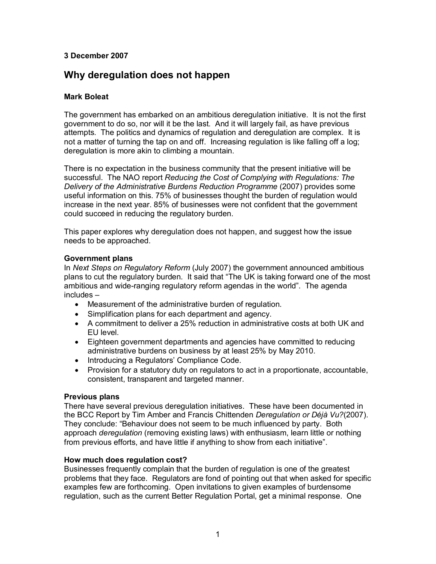# **3 December 2007**

# **Why deregulation does not happen**

# **Mark Boleat**

The government has embarked on an ambitious deregulation initiative. It is not the first government to do so, nor will it be the last. And it will largely fail, as have previous attempts. The politics and dynamics of regulation and deregulation are complex. It is not a matter of turning the tap on and off. Increasing regulation is like falling off a log; deregulation is more akin to climbing a mountain.

There is no expectation in the business community that the present initiative will be successful. The NAO report *Reducing the Cost of Complying with Regulations: The Delivery of the Administrative Burdens Reduction Programme* (2007) provides some useful information on this. 75% of businesses thought the burden of regulation would increase in the next year. 85% of businesses were not confident that the government could succeed in reducing the regulatory burden.

This paper explores why deregulation does not happen, and suggest how the issue needs to be approached.

## **Government plans**

In *Next Steps on Regulatory Reform* (July 2007) the government announced ambitious plans to cut the regulatory burden. It said that "The UK is taking forward one of the most ambitious and wide-ranging regulatory reform agendas in the world". The agenda includes –

- · Measurement of the administrative burden of regulation.
- · Simplification plans for each department and agency.
- · A commitment to deliver a 25% reduction in administrative costs at both UK and EU level.
- · Eighteen government departments and agencies have committed to reducing administrative burdens on business by at least 25% by May 2010.
- · Introducing a Regulators' Compliance Code.
- · Provision for a statutory duty on regulators to act in a proportionate, accountable, consistent, transparent and targeted manner.

## **Previous plans**

There have several previous deregulation initiatives. These have been documented in the BCC Report by Tim Amber and Francis Chittenden *Deregulation or Déjà Vu?*(2007). They conclude: "Behaviour does not seem to be much influenced by party. Both approach *deregulation* (removing existing laws) with enthusiasm, learn little or nothing from previous efforts, and have little if anything to show from each initiative".

## **How much does regulation cost?**

Businesses frequently complain that the burden of regulation is one of the greatest problems that they face. Regulators are fond of pointing out that when asked for specific examples few are forthcoming. Open invitations to given examples of burdensome regulation, such as the current Better Regulation Portal, get a minimal response. One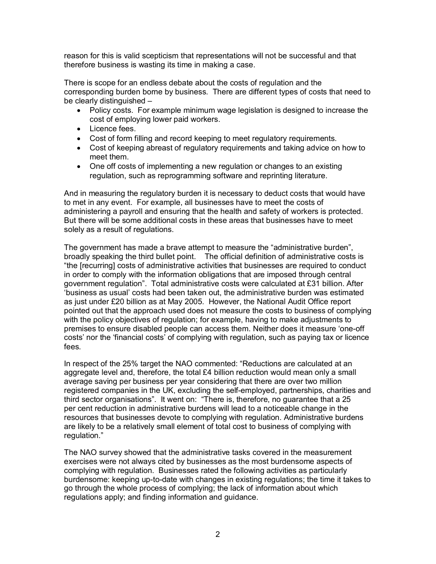reason for this is valid scepticism that representations will not be successful and that therefore business is wasting its time in making a case.

There is scope for an endless debate about the costs of regulation and the corresponding burden borne by business. There are different types of costs that need to be clearly distinguished –

- · Policy costs. For example minimum wage legislation is designed to increase the cost of employing lower paid workers.
- · Licence fees.
- · Cost of form filling and record keeping to meet regulatory requirements.
- · Cost of keeping abreast of regulatory requirements and taking advice on how to meet them.
- · One off costs of implementing a new regulation or changes to an existing regulation, such as reprogramming software and reprinting literature.

And in measuring the regulatory burden it is necessary to deduct costs that would have to met in any event. For example, all businesses have to meet the costs of administering a payroll and ensuring that the health and safety of workers is protected. But there will be some additional costs in these areas that businesses have to meet solely as a result of regulations.

The government has made a brave attempt to measure the "administrative burden", broadly speaking the third bullet point. The official definition of administrative costs is "the [recurring] costs of administrative activities that businesses are required to conduct in order to comply with the information obligations that are imposed through central government regulation". Total administrative costs were calculated at £31 billion. After 'business as usual' costs had been taken out, the administrative burden was estimated as just under £20 billion as at May 2005. However, the National Audit Office report pointed out that the approach used does not measure the costs to business of complying with the policy objectives of regulation; for example, having to make adjustments to premises to ensure disabled people can access them. Neither does it measure 'one-off costs' nor the 'financial costs' of complying with regulation, such as paying tax or licence fees.

In respect of the 25% target the NAO commented: "Reductions are calculated at an aggregate level and, therefore, the total £4 billion reduction would mean only a small average saving per business per year considering that there are over two million registered companies in the UK, excluding the self-employed, partnerships, charities and third sector organisations". It went on: "There is, therefore, no guarantee that a 25 per cent reduction in administrative burdens will lead to a noticeable change in the resources that businesses devote to complying with regulation. Administrative burdens are likely to be a relatively small element of total cost to business of complying with regulation."

The NAO survey showed that the administrative tasks covered in the measurement exercises were not always cited by businesses as the most burdensome aspects of complying with regulation. Businesses rated the following activities as particularly burdensome: keeping up-to-date with changes in existing regulations; the time it takes to go through the whole process of complying; the lack of information about which regulations apply; and finding information and guidance.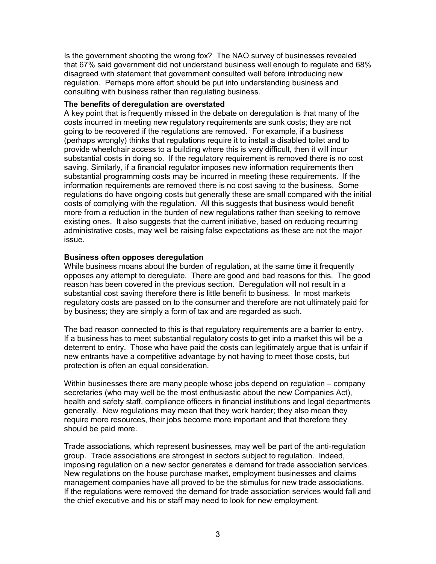Is the government shooting the wrong fox? The NAO survey of businesses revealed that 67% said government did not understand business well enough to regulate and 68% disagreed with statement that government consulted well before introducing new regulation. Perhaps more effort should be put into understanding business and consulting with business rather than regulating business.

## **The benefits of deregulation are overstated**

A key point that is frequently missed in the debate on deregulation is that many of the costs incurred in meeting new regulatory requirements are sunk costs; they are not going to be recovered if the regulations are removed. For example, if a business (perhaps wrongly) thinks that regulations require it to install a disabled toilet and to provide wheelchair access to a building where this is very difficult, then it will incur substantial costs in doing so. If the regulatory requirement is removed there is no cost saving. Similarly, if a financial regulator imposes new information requirements then substantial programming costs may be incurred in meeting these requirements. If the information requirements are removed there is no cost saving to the business. Some regulations do have ongoing costs but generally these are small compared with the initial costs of complying with the regulation. All this suggests that business would benefit more from a reduction in the burden of new regulations rather than seeking to remove existing ones. It also suggests that the current initiative, based on reducing recurring administrative costs, may well be raising false expectations as these are not the major issue.

### **Business often opposes deregulation**

While business moans about the burden of regulation, at the same time it frequently opposes any attempt to deregulate. There are good and bad reasons for this. The good reason has been covered in the previous section. Deregulation will not result in a substantial cost saving therefore there is little benefit to business. In most markets regulatory costs are passed on to the consumer and therefore are not ultimately paid for by business; they are simply a form of tax and are regarded as such.

The bad reason connected to this is that regulatory requirements are a barrier to entry. If a business has to meet substantial regulatory costs to get into a market this will be a deterrent to entry. Those who have paid the costs can legitimately argue that is unfair if new entrants have a competitive advantage by not having to meet those costs, but protection is often an equal consideration.

Within businesses there are many people whose jobs depend on regulation – company secretaries (who may well be the most enthusiastic about the new Companies Act), health and safety staff, compliance officers in financial institutions and legal departments generally. New regulations may mean that they work harder; they also mean they require more resources, their jobs become more important and that therefore they should be paid more.

Trade associations, which represent businesses, may well be part of the anti-regulation group. Trade associations are strongest in sectors subject to regulation. Indeed, imposing regulation on a new sector generates a demand for trade association services. New regulations on the house purchase market, employment businesses and claims management companies have all proved to be the stimulus for new trade associations. If the regulations were removed the demand for trade association services would fall and the chief executive and his or staff may need to look for new employment.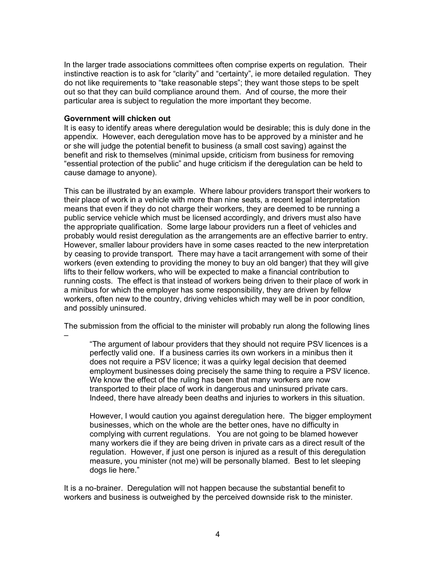In the larger trade associations committees often comprise experts on regulation. Their instinctive reaction is to ask for "clarity" and "certainty", ie more detailed regulation. They do not like requirements to "take reasonable steps"; they want those steps to be spelt out so that they can build compliance around them. And of course, the more their particular area is subject to regulation the more important they become.

#### **Government will chicken out**

–

It is easy to identify areas where deregulation would be desirable; this is duly done in the appendix. However, each deregulation move has to be approved by a minister and he or she will judge the potential benefit to business (a small cost saving) against the benefit and risk to themselves (minimal upside, criticism from business for removing "essential protection of the public" and huge criticism if the deregulation can be held to cause damage to anyone).

This can be illustrated by an example. Where labour providers transport their workers to their place of work in a vehicle with more than nine seats, a recent legal interpretation means that even if they do not charge their workers, they are deemed to be running a public service vehicle which must be licensed accordingly, and drivers must also have the appropriate qualification. Some large labour providers run a fleet of vehicles and probably would resist deregulation as the arrangements are an effective barrier to entry. However, smaller labour providers have in some cases reacted to the new interpretation by ceasing to provide transport. There may have a tacit arrangement with some of their workers (even extending to providing the money to buy an old banger) that they will give lifts to their fellow workers, who will be expected to make a financial contribution to running costs. The effect is that instead of workers being driven to their place of work in a minibus for which the employer has some responsibility, they are driven by fellow workers, often new to the country, driving vehicles which may well be in poor condition, and possibly uninsured.

The submission from the official to the minister will probably run along the following lines

"The argument of labour providers that they should not require PSV licences is a perfectly valid one. If a business carries its own workers in a minibus then it does not require a PSV licence; it was a quirky legal decision that deemed employment businesses doing precisely the same thing to require a PSV licence. We know the effect of the ruling has been that many workers are now transported to their place of work in dangerous and uninsured private cars. Indeed, there have already been deaths and injuries to workers in this situation.

However, I would caution you against deregulation here. The bigger employment businesses, which on the whole are the better ones, have no difficulty in complying with current regulations. You are not going to be blamed however many workers die if they are being driven in private cars as a direct result of the regulation. However, if just one person is injured as a result of this deregulation measure, you minister (not me) will be personally blamed. Best to let sleeping dogs lie here."

It is a no-brainer. Deregulation will not happen because the substantial benefit to workers and business is outweighed by the perceived downside risk to the minister.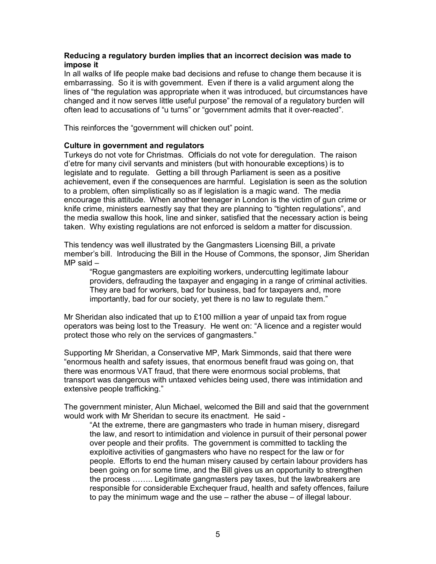## **Reducing a regulatory burden implies that an incorrect decision was made to impose it**

In all walks of life people make bad decisions and refuse to change them because it is embarrassing. So it is with government. Even if there is a valid argument along the lines of "the regulation was appropriate when it was introduced, but circumstances have changed and it now serves little useful purpose" the removal of a regulatory burden will often lead to accusations of "u turns" or "government admits that it over-reacted".

This reinforces the "government will chicken out" point.

### **Culture in government and regulators**

Turkeys do not vote for Christmas. Officials do not vote for deregulation. The raison d'etre for many civil servants and ministers (but with honourable exceptions) is to legislate and to regulate. Getting a bill through Parliament is seen as a positive achievement, even if the consequences are harmful. Legislation is seen as the solution to a problem, often simplistically so as if legislation is a magic wand. The media encourage this attitude. When another teenager in London is the victim of gun crime or knife crime, ministers earnestly say that they are planning to "tighten regulations", and the media swallow this hook, line and sinker, satisfied that the necessary action is being taken. Why existing regulations are not enforced is seldom a matter for discussion.

This tendency was well illustrated by the Gangmasters Licensing Bill, a private member's bill. Introducing the Bill in the House of Commons, the sponsor, Jim Sheridan MP said –

"Rogue gangmasters are exploiting workers, undercutting legitimate labour providers, defrauding the taxpayer and engaging in a range of criminal activities. They are bad for workers, bad for business, bad for taxpayers and, more importantly, bad for our society, yet there is no law to regulate them."

Mr Sheridan also indicated that up to £100 million a year of unpaid tax from roque operators was being lost to the Treasury. He went on: "A licence and a register would protect those who rely on the services of gangmasters."

Supporting Mr Sheridan, a Conservative MP, Mark Simmonds, said that there were "enormous health and safety issues, that enormous benefit fraud was going on, that there was enormous VAT fraud, that there were enormous social problems, that transport was dangerous with untaxed vehicles being used, there was intimidation and extensive people trafficking."

The government minister, Alun Michael, welcomed the Bill and said that the government would work with Mr Sheridan to secure its enactment. He said -

"At the extreme, there are gangmasters who trade in human misery, disregard the law, and resort to intimidation and violence in pursuit of their personal power over people and their profits. The government is committed to tackling the exploitive activities of gangmasters who have no respect for the law or for people. Efforts to end the human misery caused by certain labour providers has been going on for some time, and the Bill gives us an opportunity to strengthen the process …….. Legitimate gangmasters pay taxes, but the lawbreakers are responsible for considerable Exchequer fraud, health and safety offences, failure to pay the minimum wage and the use – rather the abuse – of illegal labour.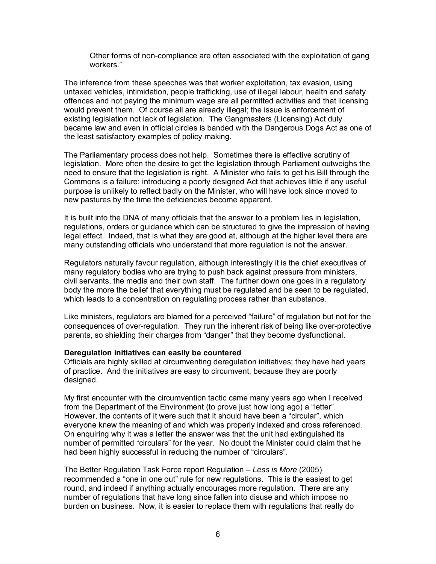Other forms of non-compliance are often associated with the exploitation of gang workers."

The inference from these speeches was that worker exploitation, tax evasion, using untaxed vehicles, intimidation, people trafficking, use of illegal labour, health and safety offences and not paying the minimum wage are all permitted activities and that licensing would prevent them. Of course all are already illegal; the issue is enforcement of existing legislation not lack of legislation. The Gangmasters (Licensing) Act duly became law and even in official circles is banded with the Dangerous Dogs Act as one of the least satisfactory examples of policy making.

The Parliamentary process does not help. Sometimes there is effective scrutiny of legislation. More often the desire to get the legislation through Parliament outweighs the need to ensure that the legislation is right. A Minister who fails to get his Bill through the Commons is a failure; introducing a poorly designed Act that achieves little if any useful purpose is unlikely to reflect badly on the Minister, who will have look since moved to new pastures by the time the deficiencies become apparent.

It is built into the DNA of many officials that the answer to a problem lies in legislation, regulations, orders or guidance which can be structured to give the impression of having legal effect. Indeed, that is what they are good at, although at the higher level there are many outstanding officials who understand that more regulation is not the answer.

Regulators naturally favour regulation, although interestingly it is the chief executives of many regulatory bodies who are trying to push back against pressure from ministers, civil servants, the media and their own staff. The further down one goes in a regulatory body the more the belief that everything must be regulated and be seen to be regulated, which leads to a concentration on regulating process rather than substance.

Like ministers, regulators are blamed for a perceived "failure" of regulation but not for the consequences of over-regulation. They run the inherent risk of being like over-protective parents, so shielding their charges from "danger" that they become dysfunctional.

#### **Deregulation initiatives can easily be countered**

Officials are highly skilled at circumventing deregulation initiatives; they have had years of practice. And the initiatives are easy to circumvent, because they are poorly designed.

My first encounter with the circumvention tactic came many years ago when I received from the Department of the Environment (to prove just how long ago) a "letter". However, the contents of it were such that it should have been a "circular", which everyone knew the meaning of and which was properly indexed and cross referenced. On enquiring why it was a letter the answer was that the unit had extinguished its number of permitted "circulars" for the year. No doubt the Minister could claim that he had been highly successful in reducing the number of "circulars".

The Better Regulation Task Force report Regulation *– Less is More* (2005) recommended a "one in one out" rule for new regulations. This is the easiest to get round, and indeed if anything actually encourages more regulation. There are any number of regulations that have long since fallen into disuse and which impose no burden on business. Now, it is easier to replace them with regulations that really do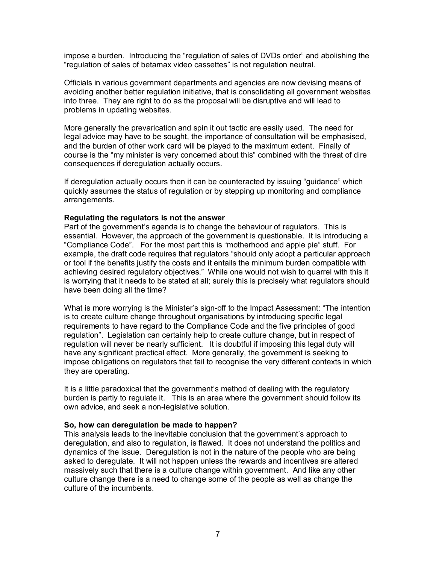impose a burden. Introducing the "regulation of sales of DVDs order" and abolishing the "regulation of sales of betamax video cassettes" is not regulation neutral.

Officials in various government departments and agencies are now devising means of avoiding another better regulation initiative, that is consolidating all government websites into three. They are right to do as the proposal will be disruptive and will lead to problems in updating websites.

More generally the prevarication and spin it out tactic are easily used. The need for legal advice may have to be sought, the importance of consultation will be emphasised, and the burden of other work card will be played to the maximum extent. Finally of course is the "my minister is very concerned about this" combined with the threat of dire consequences if deregulation actually occurs.

If deregulation actually occurs then it can be counteracted by issuing "guidance" which quickly assumes the status of regulation or by stepping up monitoring and compliance arrangements.

### **Regulating the regulators is not the answer**

Part of the government's agenda is to change the behaviour of regulators. This is essential. However, the approach of the government is questionable. It is introducing a "Compliance Code". For the most part this is "motherhood and apple pie" stuff. For example, the draft code requires that regulators "should only adopt a particular approach or tool if the benefits justify the costs and it entails the minimum burden compatible with achieving desired regulatory objectives." While one would not wish to quarrel with this it is worrying that it needs to be stated at all; surely this is precisely what regulators should have been doing all the time?

What is more worrying is the Minister's sign-off to the Impact Assessment: "The intention is to create culture change throughout organisations by introducing specific legal requirements to have regard to the Compliance Code and the five principles of good regulation". Legislation can certainly help to create culture change, but in respect of regulation will never be nearly sufficient. It is doubtful if imposing this legal duty will have any significant practical effect. More generally, the government is seeking to impose obligations on regulators that fail to recognise the very different contexts in which they are operating.

It is a little paradoxical that the government's method of dealing with the regulatory burden is partly to regulate it. This is an area where the government should follow its own advice, and seek a non-legislative solution.

## **So, how can deregulation be made to happen?**

This analysis leads to the inevitable conclusion that the government's approach to deregulation, and also to regulation, is flawed. It does not understand the politics and dynamics of the issue. Deregulation is not in the nature of the people who are being asked to deregulate. It will not happen unless the rewards and incentives are altered massively such that there is a culture change within government. And like any other culture change there is a need to change some of the people as well as change the culture of the incumbents.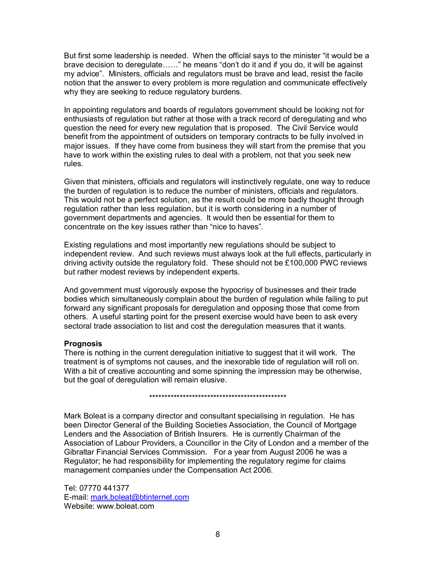But first some leadership is needed. When the official says to the minister "it would be a brave decision to deregulate……" he means "don't do it and if you do, it will be against my advice". Ministers, officials and regulators must be brave and lead, resist the facile notion that the answer to every problem is more regulation and communicate effectively why they are seeking to reduce regulatory burdens.

In appointing regulators and boards of regulators government should be looking not for enthusiasts of regulation but rather at those with a track record of deregulating and who question the need for every new regulation that is proposed. The Civil Service would benefit from the appointment of outsiders on temporary contracts to be fully involved in major issues. If they have come from business they will start from the premise that you have to work within the existing rules to deal with a problem, not that you seek new rules.

Given that ministers, officials and regulators will instinctively regulate, one way to reduce the burden of regulation is to reduce the number of ministers, officials and regulators. This would not be a perfect solution, as the result could be more badly thought through regulation rather than less regulation, but it is worth considering in a number of government departments and agencies. It would then be essential for them to concentrate on the key issues rather than "nice to haves".

Existing regulations and most importantly new regulations should be subject to independent review. And such reviews must always look at the full effects, particularly in driving activity outside the regulatory fold. These should not be £100,000 PWC reviews but rather modest reviews by independent experts.

And government must vigorously expose the hypocrisy of businesses and their trade bodies which simultaneously complain about the burden of regulation while failing to put forward any significant proposals for deregulation and opposing those that come from others. A useful starting point for the present exercise would have been to ask every sectoral trade association to list and cost the deregulation measures that it wants.

#### **Prognosis**

There is nothing in the current deregulation initiative to suggest that it will work. The treatment is of symptoms not causes, and the inexorable tide of regulation will roll on. With a bit of creative accounting and some spinning the impression may be otherwise, but the goal of deregulation will remain elusive.

\*\*\*\*\*\*\*\*\*\*\*\*\*\*\*\*\*\*\*\*\*\*\*\*\*\*\*\*\*\*\*\*\*\*\*\*\*\*\*\*\*\*\*\*\*

Mark Boleat is a company director and consultant specialising in regulation. He has been Director General of the Building Societies Association, the Council of Mortgage Lenders and the Association of British Insurers. He is currently Chairman of the Association of Labour Providers, a Councillor in the City of London and a member of the Gibraltar Financial Services Commission. For a year from August 2006 he was a Regulator; he had responsibility for implementing the regulatory regime for claims management companies under the Compensation Act 2006.

Tel: 07770 441377 E-mail: [mark.boleat@btinternet.com](mailto:mark.boleat@btinternet.com) Website: www.boleat.com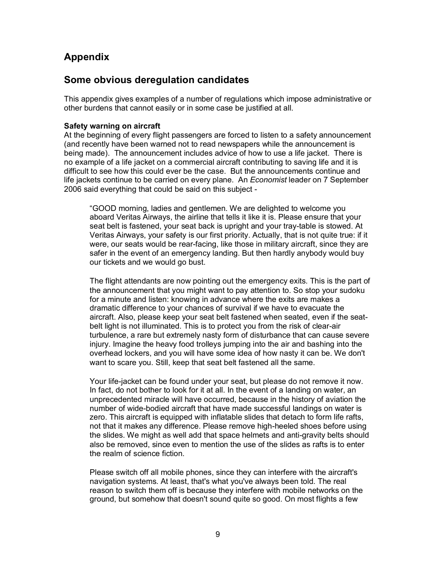# **Appendix**

# **Some obvious deregulation candidates**

This appendix gives examples of a number of regulations which impose administrative or other burdens that cannot easily or in some case be justified at all.

# **Safety warning on aircraft**

At the beginning of every flight passengers are forced to listen to a safety announcement (and recently have been warned not to read newspapers while the announcement is being made). The announcement includes advice of how to use a life jacket. There is no example of a life jacket on a commercial aircraft contributing to saving life and it is difficult to see how this could ever be the case. But the announcements continue and life jackets continue to be carried on every plane. An *Economist* leader on 7 September 2006 said everything that could be said on this subject -

"GOOD morning, ladies and gentlemen. We are delighted to welcome you aboard Veritas Airways, the airline that tells it like it is. Please ensure that your seat belt is fastened, your seat back is upright and your tray-table is stowed. At Veritas Airways, your safety is our first priority. Actually, that is not quite true: if it were, our seats would be rear-facing, like those in military aircraft, since they are safer in the event of an emergency landing. But then hardly anybody would buy our tickets and we would go bust.

The flight attendants are now pointing out the emergency exits. This is the part of the announcement that you might want to pay attention to. So stop your sudoku for a minute and listen: knowing in advance where the exits are makes a dramatic difference to your chances of survival if we have to evacuate the aircraft. Also, please keep your seat belt fastened when seated, even if the seatbelt light is not illuminated. This is to protect you from the risk of clear-air turbulence, a rare but extremely nasty form of disturbance that can cause severe injury. Imagine the heavy food trolleys jumping into the air and bashing into the overhead lockers, and you will have some idea of how nasty it can be. We don't want to scare you. Still, keep that seat belt fastened all the same.

Your life-jacket can be found under your seat, but please do not remove it now. In fact, do not bother to look for it at all. In the event of a landing on water, an unprecedented miracle will have occurred, because in the history of aviation the number of wide-bodied aircraft that have made successful landings on water is zero. This aircraft is equipped with inflatable slides that detach to form life rafts, not that it makes any difference. Please remove high-heeled shoes before using the slides. We might as well add that space helmets and anti-gravity belts should also be removed, since even to mention the use of the slides as rafts is to enter the realm of science fiction.

Please switch off all mobile phones, since they can interfere with the aircraft's navigation systems. At least, that's what you've always been told. The real reason to switch them off is because they interfere with mobile networks on the ground, but somehow that doesn't sound quite so good. On most flights a few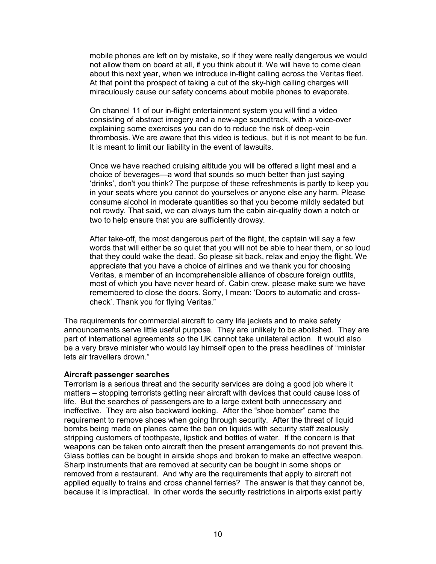mobile phones are left on by mistake, so if they were really dangerous we would not allow them on board at all, if you think about it. We will have to come clean about this next year, when we introduce in-flight calling across the Veritas fleet. At that point the prospect of taking a cut of the sky-high calling charges will miraculously cause our safety concerns about mobile phones to evaporate.

On channel 11 of our in-flight entertainment system you will find a video consisting of abstract imagery and a new-age soundtrack, with a voice-over explaining some exercises you can do to reduce the risk of deep-vein thrombosis. We are aware that this video is tedious, but it is not meant to be fun. It is meant to limit our liability in the event of lawsuits.

Once we have reached cruising altitude you will be offered a light meal and a choice of beverages—a word that sounds so much better than just saying 'drinks', don't you think? The purpose of these refreshments is partly to keep you in your seats where you cannot do yourselves or anyone else any harm. Please consume alcohol in moderate quantities so that you become mildly sedated but not rowdy. That said, we can always turn the cabin air-quality down a notch or two to help ensure that you are sufficiently drowsy.

After take-off, the most dangerous part of the flight, the captain will say a few words that will either be so quiet that you will not be able to hear them, or so loud that they could wake the dead. So please sit back, relax and enjoy the flight. We appreciate that you have a choice of airlines and we thank you for choosing Veritas, a member of an incomprehensible alliance of obscure foreign outfits, most of which you have never heard of. Cabin crew, please make sure we have remembered to close the doors. Sorry, I mean: 'Doors to automatic and crosscheck'. Thank you for flying Veritas."

The requirements for commercial aircraft to carry life jackets and to make safety announcements serve little useful purpose. They are unlikely to be abolished. They are part of international agreements so the UK cannot take unilateral action. It would also be a very brave minister who would lay himself open to the press headlines of "minister lets air travellers drown."

#### **Aircraft passenger searches**

Terrorism is a serious threat and the security services are doing a good job where it matters – stopping terrorists getting near aircraft with devices that could cause loss of life. But the searches of passengers are to a large extent both unnecessary and ineffective. They are also backward looking. After the "shoe bomber" came the requirement to remove shoes when going through security. After the threat of liquid bombs being made on planes came the ban on liquids with security staff zealously stripping customers of toothpaste, lipstick and bottles of water. If the concern is that weapons can be taken onto aircraft then the present arrangements do not prevent this. Glass bottles can be bought in airside shops and broken to make an effective weapon. Sharp instruments that are removed at security can be bought in some shops or removed from a restaurant. And why are the requirements that apply to aircraft not applied equally to trains and cross channel ferries? The answer is that they cannot be, because it is impractical. In other words the security restrictions in airports exist partly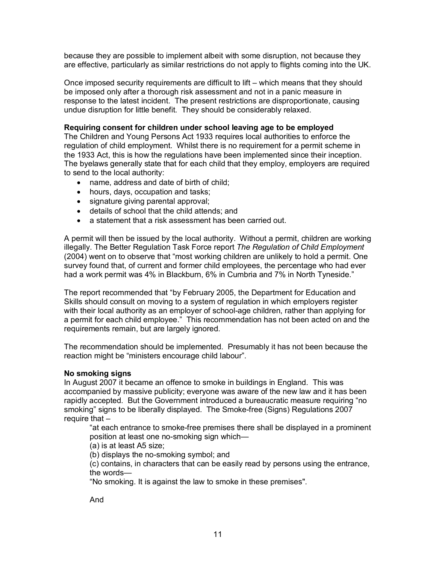because they are possible to implement albeit with some disruption, not because they are effective, particularly as similar restrictions do not apply to flights coming into the UK.

Once imposed security requirements are difficult to lift – which means that they should be imposed only after a thorough risk assessment and not in a panic measure in response to the latest incident. The present restrictions are disproportionate, causing undue disruption for little benefit. They should be considerably relaxed.

# **Requiring consent for children under school leaving age to be employed**

The Children and Young Persons Act 1933 requires local authorities to enforce the regulation of child employment. Whilst there is no requirement for a permit scheme in the 1933 Act, this is how the regulations have been implemented since their inception. The byelaws generally state that for each child that they employ, employers are required to send to the local authority:

- · name, address and date of birth of child;
- · hours, days, occupation and tasks;
- signature giving parental approval;
- · details of school that the child attends; and
- a statement that a risk assessment has been carried out.

A permit will then be issued by the local authority. Without a permit, children are working illegally. The Better Regulation Task Force report *The Regulation of Child Employment* (2004) went on to observe that "most working children are unlikely to hold a permit. One survey found that, of current and former child employees, the percentage who had ever had a work permit was 4% in Blackburn, 6% in Cumbria and 7% in North Tyneside."

The report recommended that "by February 2005, the Department for Education and Skills should consult on moving to a system of regulation in which employers register with their local authority as an employer of school-age children, rather than applying for a permit for each child employee." This recommendation has not been acted on and the requirements remain, but are largely ignored.

The recommendation should be implemented. Presumably it has not been because the reaction might be "ministers encourage child labour".

## **No smoking signs**

In August 2007 it became an offence to smoke in buildings in England. This was accompanied by massive publicity; everyone was aware of the new law and it has been rapidly accepted. But the Government introduced a bureaucratic measure requiring "no smoking" signs to be liberally displayed. The Smoke-free (Signs) Regulations 2007 require that –

"at each entrance to smoke-free premises there shall be displayed in a prominent position at least one no-smoking sign which—

(a) is at least A5 size;

(b) displays the no-smoking symbol; and

(c) contains, in characters that can be easily read by persons using the entrance, the words—

"No smoking. It is against the law to smoke in these premises".

And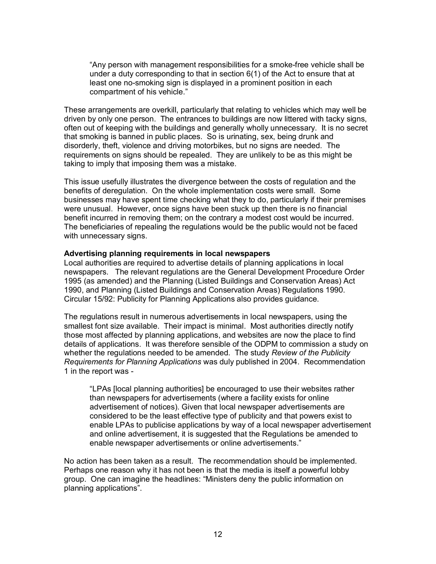"Any person with management responsibilities for a smoke-free vehicle shall be under a duty corresponding to that in section 6(1) of the Act to ensure that at least one no-smoking sign is displayed in a prominent position in each compartment of his vehicle."

These arrangements are overkill, particularly that relating to vehicles which may well be driven by only one person. The entrances to buildings are now littered with tacky signs, often out of keeping with the buildings and generally wholly unnecessary. It is no secret that smoking is banned in public places. So is urinating, sex, being drunk and disorderly, theft, violence and driving motorbikes, but no signs are needed. The requirements on signs should be repealed. They are unlikely to be as this might be taking to imply that imposing them was a mistake.

This issue usefully illustrates the divergence between the costs of regulation and the benefits of deregulation. On the whole implementation costs were small. Some businesses may have spent time checking what they to do, particularly if their premises were unusual. However, once signs have been stuck up then there is no financial benefit incurred in removing them; on the contrary a modest cost would be incurred. The beneficiaries of repealing the regulations would be the public would not be faced with unnecessary signs.

#### **Advertising planning requirements in local newspapers**

Local authorities are required to advertise details of planning applications in local newspapers. The relevant regulations are the General Development Procedure Order 1995 (as amended) and the Planning (Listed Buildings and Conservation Areas) Act 1990, and Planning (Listed Buildings and Conservation Areas) Regulations 1990. Circular 15/92: Publicity for Planning Applications also provides guidance.

The regulations result in numerous advertisements in local newspapers, using the smallest font size available. Their impact is minimal. Most authorities directly notify those most affected by planning applications, and websites are now the place to find details of applications. It was therefore sensible of the ODPM to commission a study on whether the regulations needed to be amended. The study *Review of the Publicity Requirements for Planning Applications* was duly published in 2004. Recommendation 1 in the report was -

"LPAs [local planning authorities] be encouraged to use their websites rather than newspapers for advertisements (where a facility exists for online advertisement of notices). Given that local newspaper advertisements are considered to be the least effective type of publicity and that powers exist to enable LPAs to publicise applications by way of a local newspaper advertisement and online advertisement, it is suggested that the Regulations be amended to enable newspaper advertisements or online advertisements."

No action has been taken as a result. The recommendation should be implemented. Perhaps one reason why it has not been is that the media is itself a powerful lobby group. One can imagine the headlines: "Ministers deny the public information on planning applications".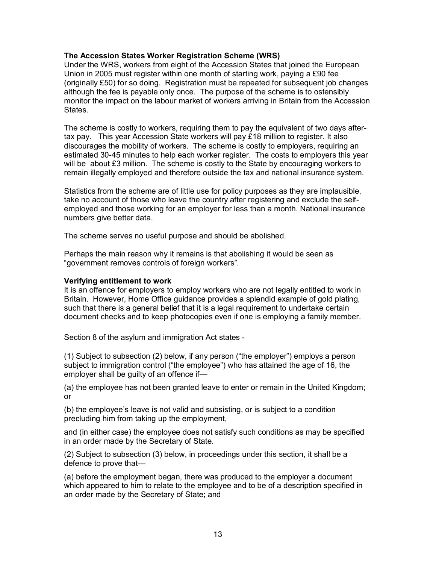### **The Accession States Worker Registration Scheme (WRS)**

Under the WRS, workers from eight of the Accession States that joined the European Union in 2005 must register within one month of starting work, paying a £90 fee (originally £50) for so doing. Registration must be repeated for subsequent job changes although the fee is payable only once. The purpose of the scheme is to ostensibly monitor the impact on the labour market of workers arriving in Britain from the Accession States.

The scheme is costly to workers, requiring them to pay the equivalent of two days aftertax pay. This year Accession State workers will pay  $£18$  million to register. It also discourages the mobility of workers. The scheme is costly to employers, requiring an estimated 30-45 minutes to help each worker register. The costs to employers this year will be about £3 million. The scheme is costly to the State by encouraging workers to remain illegally employed and therefore outside the tax and national insurance system.

Statistics from the scheme are of little use for policy purposes as they are implausible, take no account of those who leave the country after registering and exclude the selfemployed and those working for an employer for less than a month. National insurance numbers give better data.

The scheme serves no useful purpose and should be abolished.

Perhaps the main reason why it remains is that abolishing it would be seen as "government removes controls of foreign workers".

#### **Verifying entitlement to work**

It is an offence for employers to employ workers who are not legally entitled to work in Britain. However, Home Office guidance provides a splendid example of gold plating, such that there is a general belief that it is a legal requirement to undertake certain document checks and to keep photocopies even if one is employing a family member.

Section 8 of the asylum and immigration Act states -

(1) Subject to subsection (2) below, if any person ("the employer") employs a person subject to immigration control ("the employee") who has attained the age of 16, the employer shall be guilty of an offence if—

(a) the employee has not been granted leave to enter or remain in the United Kingdom; or

(b) the employee's leave is not valid and subsisting, or is subject to a condition precluding him from taking up the employment,

and (in either case) the employee does not satisfy such conditions as may be specified in an order made by the Secretary of State.

(2) Subject to subsection (3) below, in proceedings under this section, it shall be a defence to prove that—

(a) before the employment began, there was produced to the employer a document which appeared to him to relate to the employee and to be of a description specified in an order made by the Secretary of State; and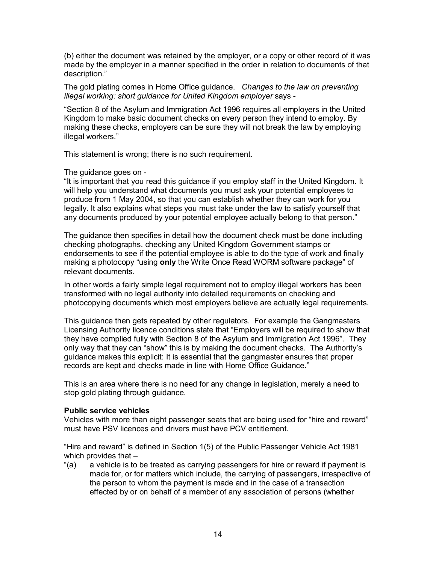(b) either the document was retained by the employer, or a copy or other record of it was made by the employer in a manner specified in the order in relation to documents of that description."

The gold plating comes in Home Office guidance. *Changes to the law on preventing illegal working: short guidance for United Kingdom employer* says -

"Section 8 of the Asylum and Immigration Act 1996 requires all employers in the United Kingdom to make basic document checks on every person they intend to employ. By making these checks, employers can be sure they will not break the law by employing illegal workers."

This statement is wrong; there is no such requirement.

The guidance goes on -

"It is important that you read this guidance if you employ staff in the United Kingdom. It will help you understand what documents you must ask your potential employees to produce from 1 May 2004, so that you can establish whether they can work for you legally. It also explains what steps you must take under the law to satisfy yourself that any documents produced by your potential employee actually belong to that person."

The guidance then specifies in detail how the document check must be done including checking photographs. checking any United Kingdom Government stamps or endorsements to see if the potential employee is able to do the type of work and finally making a photocopy "using **only** the Write Once Read WORM software package" of relevant documents.

In other words a fairly simple legal requirement not to employ illegal workers has been transformed with no legal authority into detailed requirements on checking and photocopying documents which most employers believe are actually legal requirements.

This guidance then gets repeated by other regulators. For example the Gangmasters Licensing Authority licence conditions state that "Employers will be required to show that they have complied fully with Section 8 of the Asylum and Immigration Act 1996". They only way that they can "show" this is by making the document checks. The Authority's guidance makes this explicit: It is essential that the gangmaster ensures that proper records are kept and checks made in line with Home Office Guidance."

This is an area where there is no need for any change in legislation, merely a need to stop gold plating through guidance.

#### **Public service vehicles**

Vehicles with more than eight passenger seats that are being used for "hire and reward" must have PSV licences and drivers must have PCV entitlement.

"Hire and reward" is defined in Section 1(5) of the Public Passenger Vehicle Act 1981 which provides that –

"(a) a vehicle is to be treated as carrying passengers for hire or reward if payment is made for, or for matters which include, the carrying of passengers, irrespective of the person to whom the payment is made and in the case of a transaction effected by or on behalf of a member of any association of persons (whether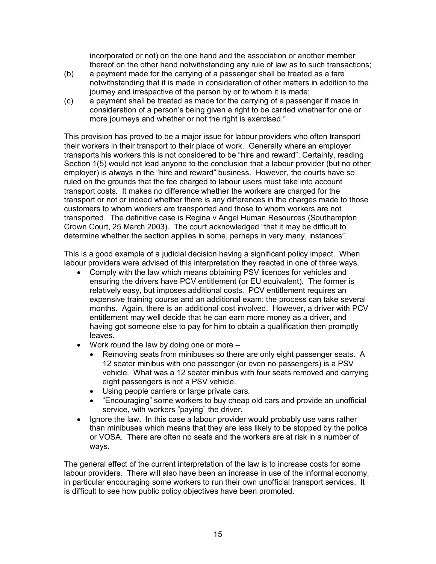incorporated or not) on the one hand and the association or another member thereof on the other hand notwithstanding any rule of law as to such transactions;

- (b) a payment made for the carrying of a passenger shall be treated as a fare notwithstanding that it is made in consideration of other matters in addition to the journey and irrespective of the person by or to whom it is made;
- (c) a payment shall be treated as made for the carrying of a passenger if made in consideration of a person's being given a right to be carried whether for one or more journeys and whether or not the right is exercised."

This provision has proved to be a major issue for labour providers who often transport their workers in their transport to their place of work. Generally where an employer transports his workers this is not considered to be "hire and reward". Certainly, reading Section 1(5) would not lead anyone to the conclusion that a labour provider (but no other employer) is always in the "hire and reward" business. However, the courts have so ruled on the grounds that the fee charged to labour users must take into account transport costs. It makes no difference whether the workers are charged for the transport or not or indeed whether there is any differences in the charges made to those customers to whom workers are transported and those to whom workers are not transported. The definitive case is Regina v Angel Human Resources (Southampton Crown Court, 25 March 2003). The court acknowledged "that it may be difficult to determine whether the section applies in some, perhaps in very many, instances".

This is a good example of a judicial decision having a significant policy impact. When labour providers were advised of this interpretation they reacted in one of three ways.

- · Comply with the law which means obtaining PSV licences for vehicles and ensuring the drivers have PCV entitlement (or EU equivalent). The former is relatively easy, but imposes additional costs. PCV entitlement requires an expensive training course and an additional exam; the process can take several months. Again, there is an additional cost involved. However, a driver with PCV entitlement may well decide that he can earn more money as a driver, and having got someone else to pay for him to obtain a qualification then promptly leaves.
- Work round the law by doing one or more
	- · Removing seats from minibuses so there are only eight passenger seats. A 12 seater minibus with one passenger (or even no passengers) is a PSV vehicle. What was a 12 seater minibus with four seats removed and carrying eight passengers is not a PSV vehicle.
	- Using people carriers or large private cars.
	- · "Encouraging" some workers to buy cheap old cars and provide an unofficial service, with workers "paying" the driver.
- · Ignore the law. In this case a labour provider would probably use vans rather than minibuses which means that they are less likely to be stopped by the police or VOSA. There are often no seats and the workers are at risk in a number of ways.

The general effect of the current interpretation of the law is to increase costs for some labour providers. There will also have been an increase in use of the informal economy, in particular encouraging some workers to run their own unofficial transport services. It is difficult to see how public policy objectives have been promoted.